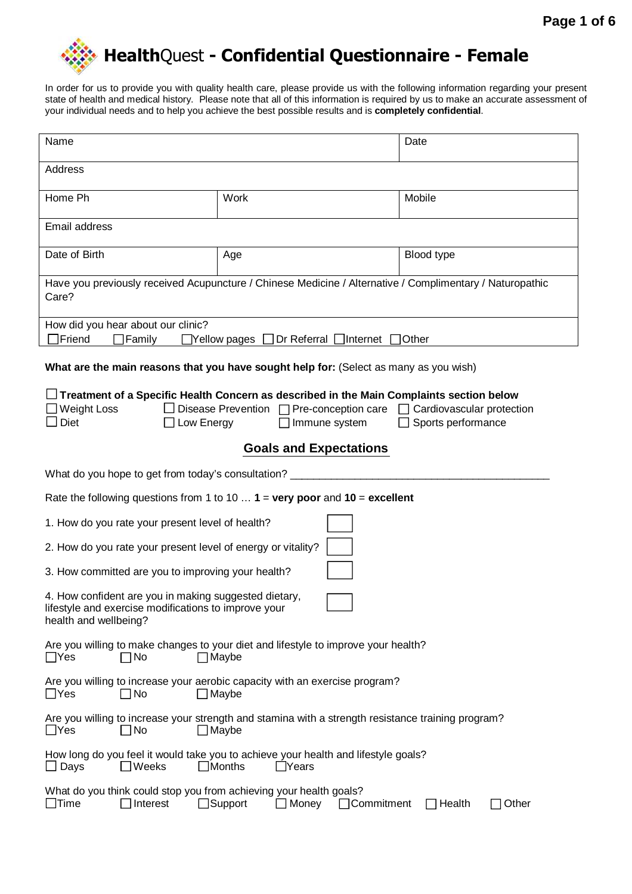

In order for us to provide you with quality health care, please provide us with the following information regarding your present state of health and medical history. Please note that all of this information is required by us to make an accurate assessment of your individual needs and to help you achieve the best possible results and is **completely confidential**.

| Name                                                                                                                                                       |                                                                                                                     | Date            |  |  |  |  |  |
|------------------------------------------------------------------------------------------------------------------------------------------------------------|---------------------------------------------------------------------------------------------------------------------|-----------------|--|--|--|--|--|
| Address                                                                                                                                                    |                                                                                                                     |                 |  |  |  |  |  |
| Home Ph                                                                                                                                                    | Work                                                                                                                | Mobile          |  |  |  |  |  |
| Email address                                                                                                                                              |                                                                                                                     |                 |  |  |  |  |  |
| Date of Birth                                                                                                                                              | Age                                                                                                                 | Blood type      |  |  |  |  |  |
| Care?                                                                                                                                                      | Have you previously received Acupuncture / Chinese Medicine / Alternative / Complimentary / Naturopathic            |                 |  |  |  |  |  |
| How did you hear about our clinic?<br>$\Box$ Friend<br>Family<br>$\Box$ Yellow pages $\Box$ Dr Referral<br>_lnternet<br>Other                              |                                                                                                                     |                 |  |  |  |  |  |
|                                                                                                                                                            | What are the main reasons that you have sought help for: (Select as many as you wish)                               |                 |  |  |  |  |  |
| Weight Loss<br>Disease Prevention $\Box$ Pre-conception care $\Box$ Cardiovascular protection<br>Diet<br>Low Energy<br>Immune system<br>Sports performance |                                                                                                                     |                 |  |  |  |  |  |
| <b>Goals and Expectations</b>                                                                                                                              |                                                                                                                     |                 |  |  |  |  |  |
| What do you hope to get from today's consultation?                                                                                                         |                                                                                                                     |                 |  |  |  |  |  |
| Rate the following questions from 1 to 10 $1 = \text{very poor}$ and $10 = \text{excellent}$                                                               |                                                                                                                     |                 |  |  |  |  |  |
| 1. How do you rate your present level of health?                                                                                                           |                                                                                                                     |                 |  |  |  |  |  |
| 2. How do you rate your present level of energy or vitality?                                                                                               |                                                                                                                     |                 |  |  |  |  |  |
| 3. How committed are you to improving your health?                                                                                                         |                                                                                                                     |                 |  |  |  |  |  |
| 4. How confident are you in making suggested dietary,<br>lifestyle and exercise modifications to improve your<br>health and wellbeing?                     |                                                                                                                     |                 |  |  |  |  |  |
| $\Box$ Yes<br>$\Box$ No                                                                                                                                    | Are you willing to make changes to your diet and lifestyle to improve your health?<br>$\Box$ Maybe                  |                 |  |  |  |  |  |
| $\Box$ Yes<br>$\Box$ No                                                                                                                                    | Are you willing to increase your aerobic capacity with an exercise program?<br>$\Box$ Maybe                         |                 |  |  |  |  |  |
| $\sqcup$ Yes<br>$\Box$ No                                                                                                                                  | Are you willing to increase your strength and stamina with a strength resistance training program?<br>$\Box$ Maybe  |                 |  |  |  |  |  |
| $\Box$ Days<br>$\Box$ Weeks                                                                                                                                | How long do you feel it would take you to achieve your health and lifestyle goals?<br>$\Box$ Months<br>$\Box$ Years |                 |  |  |  |  |  |
| What do you think could stop you from achieving your health goals?<br>]Time<br>Interest                                                                    | Support<br>Money<br>□Commitment                                                                                     | Other<br>Health |  |  |  |  |  |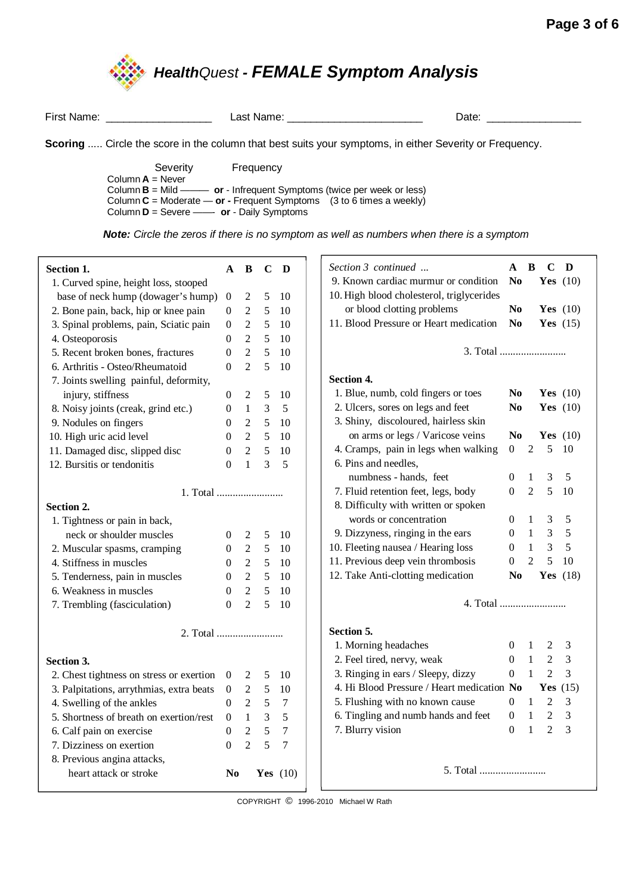

|                                                                                                                                                                                               | First Name: The Contract of the Second Second Second Second Second Second Second Second Second Second Second S | Last Name: will be a series of the control of the control of the control of the control of the control of the control of the control of the control of the control of the control of the control of the control of the control | Date: |  |  |  |
|-----------------------------------------------------------------------------------------------------------------------------------------------------------------------------------------------|----------------------------------------------------------------------------------------------------------------|--------------------------------------------------------------------------------------------------------------------------------------------------------------------------------------------------------------------------------|-------|--|--|--|
|                                                                                                                                                                                               |                                                                                                                | <b>Scoring</b> Circle the score in the column that best suits your symptoms, in either Severity or Frequency.                                                                                                                  |       |  |  |  |
|                                                                                                                                                                                               | Severity<br>Column $A =$ Never                                                                                 | Frequency                                                                                                                                                                                                                      |       |  |  |  |
| Column $B =$ Mild — or - Infrequent Symptoms (twice per week or less)<br>Column $C =$ Moderate — or - Frequent Symptoms (3 to 6 times a weekly)<br>Column $D =$ Severe —— or - Daily Symptoms |                                                                                                                |                                                                                                                                                                                                                                |       |  |  |  |

**Note:** Circle the zeros if there is no symptom as well as numbers when there is a symptom

| Section 1.                               | A                | B              | C              | D                |
|------------------------------------------|------------------|----------------|----------------|------------------|
| 1. Curved spine, height loss, stooped    |                  |                |                |                  |
| base of neck hump (dowager's hump)       | $\boldsymbol{0}$ | 2              | 5              | 10               |
| 2. Bone pain, back, hip or knee pain     | $\overline{0}$   | $\overline{2}$ | 5              | 10               |
| 3. Spinal problems, pain, Sciatic pain   | $\boldsymbol{0}$ | $\overline{2}$ | $\sqrt{5}$     | 10               |
| 4. Osteoporosis                          | $\boldsymbol{0}$ | $\overline{2}$ | 5              | 10               |
| 5. Recent broken bones, fractures        | $\boldsymbol{0}$ | $\overline{2}$ | 5              | 10               |
| 6. Arthritis - Osteo/Rheumatoid          | $\theta$         | $\overline{2}$ | 5              | 10               |
| 7. Joints swelling painful, deformity,   |                  |                |                |                  |
| injury, stiffness                        | $\boldsymbol{0}$ | $\overline{c}$ | 5              | 10               |
| 8. Noisy joints (creak, grind etc.)      | $\boldsymbol{0}$ | $\mathbf{1}$   | 3              | 5                |
| 9. Nodules on fingers                    | $\overline{0}$   | $\mathfrak{2}$ | 5              | 10               |
| 10. High uric acid level                 | $\theta$         | $\overline{2}$ | 5              | 10               |
| 11. Damaged disc, slipped disc           | $\boldsymbol{0}$ | $\overline{2}$ | 5              | 10               |
| 12. Bursitis or tendonitis               | $\Omega$         | $\mathbf{1}$   | $\overline{3}$ | 5                |
|                                          |                  |                |                |                  |
|                                          |                  |                |                |                  |
| Section 2.                               |                  |                |                |                  |
| 1. Tightness or pain in back,            |                  |                |                |                  |
| neck or shoulder muscles                 | $\boldsymbol{0}$ | 2              | 5              | 10               |
| 2. Muscular spasms, cramping             | $\boldsymbol{0}$ | $\mathfrak{2}$ | 5              | 10               |
| 4. Stiffness in muscles                  | $\overline{0}$   | $\overline{2}$ | 5              | 10               |
| 5. Tenderness, pain in muscles           | $\overline{0}$   | $\overline{2}$ | 5              | 10               |
| 6. Weakness in muscles                   | $\overline{0}$   | $\overline{2}$ | 5              | 10               |
| 7. Trembling (fasciculation)             | $\overline{0}$   | $\overline{2}$ | 5              | 10               |
|                                          |                  |                |                |                  |
|                                          |                  |                |                |                  |
|                                          |                  |                |                |                  |
| Section 3.                               |                  |                |                |                  |
| 2. Chest tightness on stress or exertion | $\overline{0}$   | $\mathfrak{2}$ | $\sqrt{5}$     | 10               |
| 3. Palpitations, arrythmias, extra beats | $\boldsymbol{0}$ | $\mathfrak{2}$ | $\sqrt{5}$     | 10               |
| 4. Swelling of the ankles                | $\Omega$         | $\overline{2}$ | $\sqrt{5}$     | $\boldsymbol{7}$ |
| 5. Shortness of breath on exertion/rest  | $\Omega$         | $\mathbf{1}$   | $\overline{3}$ | 5                |
| 6. Calf pain on exercise                 | 0                | $\overline{2}$ | 5              | $\overline{7}$   |
| 7. Dizziness on exertion                 | $\theta$         | $\overline{2}$ | 5              | $\overline{7}$   |
| 8. Previous angina attacks,              |                  |                |                |                  |
| heart attack or stroke                   | No               |                |                | Yes $(10)$       |

- I COPYRIGHT © 1996-2010 Michael W Rath